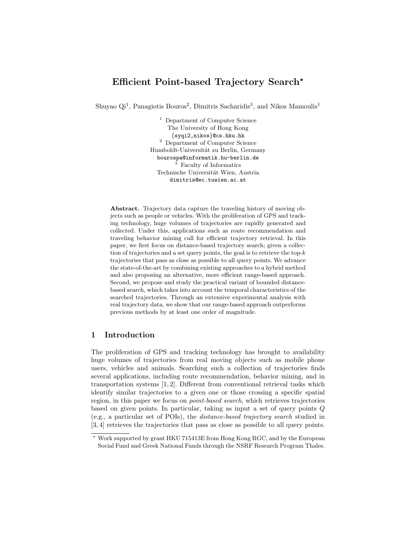# Efficient Point-based Trajectory Search<sup>\*</sup>

Shuyao Qi<sup>1</sup>, Panagiotis Bouros<sup>2</sup>, Dimitris Sacharidis<sup>3</sup>, and Nikos Mamoulis<sup>1</sup>

<sup>1</sup> Department of Computer Science The University of Hong Kong {syqi2,nikos}@cs.hku.hk <sup>2</sup> Department of Computer Science Humboldt-Universität zu Berlin, Germany bourospa@informatik.hu-berlin.de <sup>3</sup> Faculty of Informatics Technische Universität Wien, Austria dimitris@ec.tuwien.ac.at

Abstract. Trajectory data capture the traveling history of moving objects such as people or vehicles. With the proliferation of GPS and tracking technology, huge volumes of trajectories are rapidly generated and collected. Under this, applications such as route recommendation and traveling behavior mining call for efficient trajectory retrieval. In this paper, we first focus on distance-based trajectory search; given a collection of trajectories and a set query points, the goal is to retrieve the top- $k$ trajectories that pass as close as possible to all query points. We advance the state-of-the-art by combining existing approaches to a hybrid method and also proposing an alternative, more efficient range-based approach. Second, we propose and study the practical variant of bounded distancebased search, which takes into account the temporal characteristics of the searched trajectories. Through an extensive experimental analysis with real trajectory data, we show that our range-based approach outperforms previous methods by at least one order of magnitude.

# 1 Introduction

The proliferation of GPS and tracking technology has brought to availability huge volumes of trajectories from real moving objects such as mobile phone users, vehicles and animals. Searching such a collection of trajectories finds several applications, including route recommendation, behavior mining, and in transportation systems [1, 2]. Different from conventional retrieval tasks which identify similar trajectories to a given one or those crossing a specific spatial region, in this paper we focus on point-based search, which retrieves trajectories based on given points. In particular, taking as input a set of query points Q (e.g., a particular set of POIs), the distance-based trajectory search studied in [3, 4] retrieves the trajectories that pass as close as possible to all query points.

<sup>?</sup> Work supported by grant HKU 715413E from Hong Kong RGC, and by the European Social Fund and Greek National Funds through the NSRF Research Program Thales.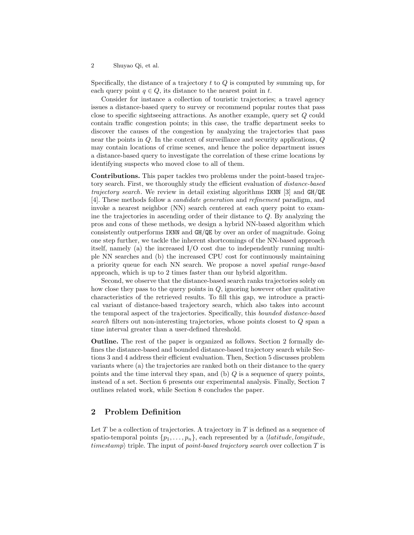Specifically, the distance of a trajectory  $t$  to  $Q$  is computed by summing up, for each query point  $q \in Q$ , its distance to the nearest point in t.

Consider for instance a collection of touristic trajectories; a travel agency issues a distance-based query to survey or recommend popular routes that pass close to specific sightseeing attractions. As another example, query set Q could contain traffic congestion points; in this case, the traffic department seeks to discover the causes of the congestion by analyzing the trajectories that pass near the points in Q. In the context of surveillance and security applications, Q may contain locations of crime scenes, and hence the police department issues a distance-based query to investigate the correlation of these crime locations by identifying suspects who moved close to all of them.

Contributions. This paper tackles two problems under the point-based trajectory search. First, we thoroughly study the efficient evaluation of distance-based *trajectory search*. We review in detail existing algorithms IKNN [3] and  $GH/\mathbb{QE}$ [4]. These methods follow a candidate generation and refinement paradigm, and invoke a nearest neighbor (NN) search centered at each query point to examine the trajectories in ascending order of their distance to Q. By analyzing the pros and cons of these methods, we design a hybrid NN-based algorithm which consistently outperforms IKNN and GH/QE by over an order of magnitude. Going one step further, we tackle the inherent shortcomings of the NN-based approach itself, namely (a) the increased I/O cost due to independently running multiple NN searches and (b) the increased CPU cost for continuously maintaining a priority queue for each NN search. We propose a novel spatial range-based approach, which is up to 2 times faster than our hybrid algorithm.

Second, we observe that the distance-based search ranks trajectories solely on how close they pass to the query points in  $Q$ , ignoring however other qualitative characteristics of the retrieved results. To fill this gap, we introduce a practical variant of distance-based trajectory search, which also takes into account the temporal aspect of the trajectories. Specifically, this bounded distance-based search filters out non-interesting trajectories, whose points closest to Q span a time interval greater than a user-defined threshold.

Outline. The rest of the paper is organized as follows. Section 2 formally defines the distance-based and bounded distance-based trajectory search while Sections 3 and 4 address their efficient evaluation. Then, Section 5 discusses problem variants where (a) the trajectories are ranked both on their distance to the query points and the time interval they span, and (b)  $Q$  is a sequence of query points, instead of a set. Section 6 presents our experimental analysis. Finally, Section 7 outlines related work, while Section 8 concludes the paper.

# 2 Problem Definition

Let T be a collection of trajectories. A trajectory in T is defined as a sequence of spatio-temporal points  $\{p_1, \ldots, p_n\}$ , each represented by a  $\langle latitude, longitude,$ timestamp) triple. The input of point-based trajectory search over collection  $T$  is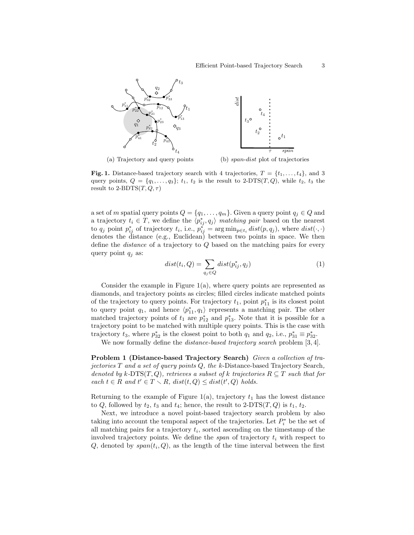

Fig. 1. Distance-based trajectory search with 4 trajectories,  $T = \{t_1, \ldots, t_4\}$ , and 3 query points,  $Q = \{q_1, \ldots, q_3\}; t_1, t_2$  is the result to 2-DTS(T, Q), while  $t_2, t_3$  the result to 2-BDTS $(T, Q, \tau)$ 

a set of m spatial query points  $Q = \{q_1, \ldots, q_m\}$ . Given a query point  $q_j \in Q$  and a trajectory  $t_i \in T$ , we define the  $\langle p_{ij}^*, q_j \rangle$  matching pair based on the nearest to  $q_j$  point  $p_{ij}^*$  of trajectory  $t_i$ , i.e.,  $p_{ij}^* = \arg \min_{p \in t_i} dist(p, q_j)$ , where  $dist(\cdot, \cdot)$ denotes the distance (e.g., Euclidean) between two points in space. We then define the distance of a trajectory to Q based on the matching pairs for every query point  $q_i$  as:

$$
dist(t_i, Q) = \sum_{q_j \in Q} dist(p_{ij}^*, q_j)
$$
\n(1)

Consider the example in Figure  $1(a)$ , where query points are represented as diamonds, and trajectory points as circles; filled circles indicate matched points of the trajectory to query points. For trajectory  $t_1$ , point  $p_{11}^*$  is its closest point to query point  $q_1$ , and hence  $\langle p_{11}^*, q_1 \rangle$  represents a matching pair. The other matched trajectory points of  $t_1$  are  $p_{12}^*$  and  $p_{13}^*$ . Note that it is possible for a trajectory point to be matched with multiple query points. This is the case with trajectory  $t_3$ , where  $p_{32}^*$  is the closest point to both  $q_1$  and  $q_2$ , i.e.,  $p_{31}^* \equiv p_{32}^*$ .

We now formally define the *distance-based trajectory search* problem [3, 4].

Problem 1 (Distance-based Trajectory Search) Given a collection of trajectories  $T$  and a set of query points  $Q$ , the k-Distance-based Trajectory Search, denoted by k-DTS(T, Q), retrieves a subset of k trajectories  $R \subseteq T$  such that for  $\text{each } t \in R \text{ and } t' \in T \setminus R, \text{dist}(t, Q) \leq \text{dist}(t', Q) \text{ holds.}$ 

Returning to the example of Figure 1(a), trajectory  $t_1$  has the lowest distance to Q, followed by  $t_2$ ,  $t_3$  and  $t_4$ ; hence, the result to 2-DTS(T, Q) is  $t_1$ ,  $t_2$ .

Next, we introduce a novel point-based trajectory search problem by also taking into account the temporal aspect of the trajectories. Let  $P_i^*$  be the set of all matching pairs for a trajectory  $t_i$ , sorted ascending on the timestamp of the involved trajectory points. We define the span of trajectory  $t_i$  with respect to Q, denoted by  $span(t_i, Q)$ , as the length of the time interval between the first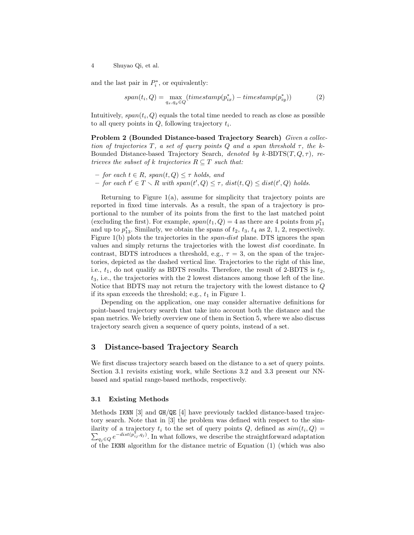and the last pair in  $P_i^*$ , or equivalently:

$$
span(t_i, Q) = \max_{q_x, q_y \in Q} (timestamp(p_{ix}^*) - timestamp(p_{iy}^*))
$$
 (2)

Intuitively,  $span(t_i, Q)$  equals the total time needed to reach as close as possible to all query points in  $Q$ , following trajectory  $t_i$ .

Problem 2 (Bounded Distance-based Trajectory Search) Given a collection of trajectories T, a set of query points Q and a span threshold  $\tau$ , the k-Bounded Distance-based Trajectory Search, denoted by  $k$ -BDTS $(T, Q, \tau)$ , retrieves the subset of k trajectories  $R \subseteq T$  such that:

 $-$  for each  $t \in R$ , span $(t, Q) \leq \tau$  holds, and  $-$  for each  $t' \in T \setminus R$  with span $(t', Q) \leq \tau$ ,  $dist(t, Q) \leq dist(t', Q)$  holds.

Returning to Figure  $1(a)$ , assume for simplicity that trajectory points are reported in fixed time intervals. As a result, the span of a trajectory is proportional to the number of its points from the first to the last matched point (excluding the first). For example,  $span(t_1, Q) = 4$  as there are 4 points from  $p_{11}^*$ and up to  $p_{13}^*$ . Similarly, we obtain the spans of  $t_2$ ,  $t_3$ ,  $t_4$  as 2, 1, 2, respectively. Figure 1(b) plots the trajectories in the span-dist plane. DTS ignores the span values and simply returns the trajectories with the lowest dist coordinate. In contrast, BDTS introduces a threshold, e.g.,  $\tau = 3$ , on the span of the trajectories, depicted as the dashed vertical line. Trajectories to the right of this line, i.e.,  $t_1$ , do not qualify as BDTS results. Therefore, the result of 2-BDTS is  $t_2$ ,  $t_3$ , i.e., the trajectories with the 2 lowest distances among those left of the line. Notice that BDTS may not return the trajectory with the lowest distance to Q if its span exceeds the threshold; e.g.,  $t_1$  in Figure 1.

Depending on the application, one may consider alternative definitions for point-based trajectory search that take into account both the distance and the span metrics. We briefly overview one of them in Section 5, where we also discuss trajectory search given a sequence of query points, instead of a set.

## 3 Distance-based Trajectory Search

We first discuss trajectory search based on the distance to a set of query points. Section 3.1 revisits existing work, while Sections 3.2 and 3.3 present our NNbased and spatial range-based methods, respectively.

#### 3.1 Existing Methods

Methods IKNN [3] and GH/QE [4] have previously tackled distance-based trajectory search. Note that in [3] the problem was defined with respect to the similarity of a trajectory  $t_i$  to the set of query points  $Q$ , defined as  $sim(t_i, Q)$  =  $\sum_{q_j \in Q} e^{-dist(p_{ij}^*,q_j)}$ . In what follows, we describe the straightforward adaptation of the IKNN algorithm for the distance metric of Equation (1) (which was also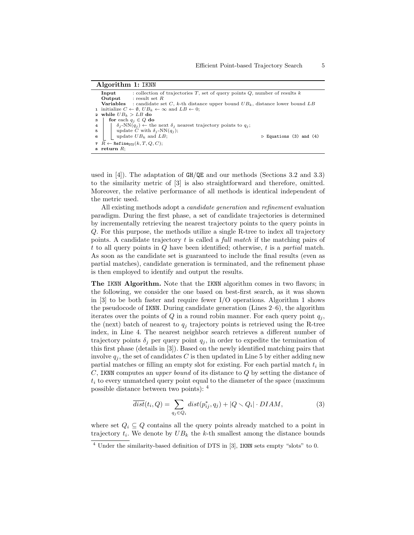|                | Algorithm 1: IKNN         |                                                                                                |                                        |
|----------------|---------------------------|------------------------------------------------------------------------------------------------|----------------------------------------|
|                | Input                     | : collection of trajectories T, set of query points $Q$ , number of results k                  |                                        |
|                | Output                    | $\therefore$ result set R                                                                      |                                        |
|                |                           | <b>Variables</b> : candidate set C, k-th distance upper bound $UB_k$ , distance lower bound LB |                                        |
|                |                           | 1 initialize $C \leftarrow \emptyset$ , $UB_k \leftarrow \infty$ and $LB \leftarrow 0$ ;       |                                        |
|                | 2 while $UB_k > LB$ do    |                                                                                                |                                        |
| 3              |                           | for each $q_i \in Q$ do                                                                        |                                        |
| $\overline{4}$ |                           | $\delta_i$ -NN $(q_i)$ $\leftarrow$ the next $\delta_i$ nearest trajectory points to $q_i$ ;   |                                        |
| 5              |                           | update C with $\delta_i$ -NN $(q_i)$ ;                                                         |                                        |
| 6              |                           | update $UB_k$ and $LB$ ;                                                                       | $\triangleright$ Equations (3) and (4) |
|                |                           | 7 $R \leftarrow \text{Refine}_{\text{DTS}}(k, T, Q, C);$                                       |                                        |
|                | $\mathbf{s}$ return $R$ ; |                                                                                                |                                        |

used in [4]). The adaptation of  $GH/\sqrt{E}$  and our methods (Sections 3.2 and 3.3) to the similarity metric of [3] is also straightforward and therefore, omitted. Moreover, the relative performance of all methods is identical independent of the metric used.

All existing methods adopt a candidate generation and refinement evaluation paradigm. During the first phase, a set of candidate trajectories is determined by incrementally retrieving the nearest trajectory points to the query points in Q. For this purpose, the methods utilize a single R-tree to index all trajectory points. A candidate trajectory  $t$  is called a *full match* if the matching pairs of t to all query points in  $Q$  have been identified; otherwise, t is a partial match. As soon as the candidate set is guaranteed to include the final results (even as partial matches), candidate generation is terminated, and the refinement phase is then employed to identify and output the results.

The IKNN Algorithm. Note that the IKNN algorithm comes in two flavors; in the following, we consider the one based on best-first search, as it was shown in [3] to be both faster and require fewer I/O operations. Algorithm 1 shows the pseudocode of IKNN. During candidate generation (Lines 2–6), the algorithm iterates over the points of Q in a round robin manner. For each query point  $q_i$ , the (next) batch of nearest to  $q_i$  trajectory points is retrieved using the R-tree index, in Line 4. The nearest neighbor search retrieves a different number of trajectory points  $\delta_j$  per query point  $q_j$ , in order to expedite the termination of this first phase (details in [3]). Based on the newly identified matching pairs that involve  $q_i$ , the set of candidates C is then updated in Line 5 by either adding new partial matches or filling an empty slot for existing. For each partial match  $t_i$  in C, IKNN computes an upper bound of its distance to Q by setting the distance of  $t_i$  to every unmatched query point equal to the diameter of the space (maximum possible distance between two points): <sup>4</sup>

$$
\overline{dist}(t_i, Q) = \sum_{q_j \in Q_i} dist(p_{ij}^*, q_j) + |Q \setminus Q_i| \cdot DIAM,
$$
\n(3)

where set  $Q_i \subseteq Q$  contains all the query points already matched to a point in trajectory  $t_i$ . We denote by  $UB_k$  the k-th smallest among the distance bounds

<sup>4</sup> Under the similarity-based definition of DTS in [3], IKNN sets empty "slots" to 0.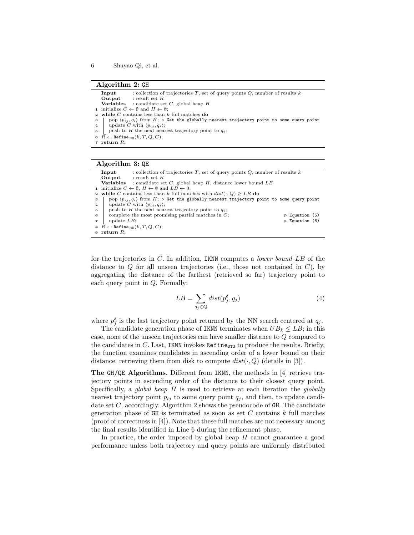| Algorithm 2: GH |  |  |
|-----------------|--|--|
|-----------------|--|--|

 ${\bf Input} \qquad : {\rm collection~of~trajectories}~T,~{\rm set~of~query~points}~Q,~{\rm number~of~results}~k\\ {\bf Output} \qquad : {\rm result~set}~R$ **Output** : result set  $R$ <br>**Variables** : candidate se : candidate set  $C$ , global heap  $H$ 1 initialize  $C \leftarrow \emptyset$  and  $H \leftarrow \emptyset$ ;<br>2 while C contains less than k while  $C$  contains less than  $k$  full matches do 3 | pop  $\langle p_{ij}, q_i \rangle$  from  $H; \ \triangleright$  Get the globally nearest trajectory point to some query point 4 update C with  $\langle p_{ij}, q_i \rangle$ ;<br>5 ush to H the next near push to  $H$  the next nearest trajectory point to  $q_i$ ; 6  $R \leftarrow \text{Refine}_{\text{DTS}}(k, T, Q, C);$ return  $R$ ;

## Algorithm 3: QE

|                          | : collection of trajectories $T$ , set of query points $Q$ , number of results $k$<br>Input                               |                               |
|--------------------------|---------------------------------------------------------------------------------------------------------------------------|-------------------------------|
|                          | : result set $R$<br>Output                                                                                                |                               |
|                          | <b>Variables</b> : candidate set C, global heap H, distance lower bound LB                                                |                               |
|                          | <b>1</b> initialize $C \leftarrow \emptyset$ , $H \leftarrow \emptyset$ and $LB \leftarrow 0$ ;                           |                               |
|                          | 2 while C contains less than k full matches with $dist(\cdot, Q) > LB$ do                                                 |                               |
| 3                        | pop $\langle p_{ij}, q_i \rangle$ from $H_i \triangleright$ Get the globally nearest trajectory point to some query point |                               |
| $\overline{4}$           | update C with $\langle p_{ij}, q_i \rangle$ ;                                                                             |                               |
| 5                        | push to H the next nearest trajectory point to $q_i$ ;                                                                    |                               |
| 6                        | complete the most promising partial matches in $C$ ;                                                                      | $\triangleright$ Equation (5) |
| $\overline{\phantom{a}}$ | update $LB$ ;                                                                                                             | $\triangleright$ Equation (6) |
|                          | 8 $R \leftarrow \text{Refine}_{\text{DTS}}(k, T, Q, C);$                                                                  |                               |
|                          | $9$ return $R$ :                                                                                                          |                               |

for the trajectories in C. In addition, IKNN computes a lower bound LB of the distance to  $Q$  for all unseen trajectories (i.e., those not contained in  $C$ ), by aggregating the distance of the farthest (retrieved so far) trajectory point to each query point in  $Q$ . Formally:

$$
LB = \sum_{q_j \in Q} dist(p_j^{\delta}, q_j) \tag{4}
$$

where  $p_j^{\delta}$  is the last trajectory point returned by the NN search centered at  $q_j$ .

The candidate generation phase of IKNN terminates when  $UB_k \leq LB$ ; in this case, none of the unseen trajectories can have smaller distance to Q compared to the candidates in  $C$ . Last, IKNN invokes  $\text{Refine}_{\text{DTS}}$  to produce the results. Briefly, the function examines candidates in ascending order of a lower bound on their distance, retrieving them from disk to compute  $dist(·, Q)$  (details in [3]).

The GH/QE Algorithms. Different from IKNN, the methods in [4] retrieve trajectory points in ascending order of the distance to their closest query point. Specifically, a global heap  $H$  is used to retrieve at each iteration the globally nearest trajectory point  $p_{ij}$  to some query point  $q_j$ , and then, to update candidate set C, accordingly. Algorithm 2 shows the pseudocode of GH. The candidate generation phase of  $GH$  is terminated as soon as set C contains k full matches (proof of correctness in [4]). Note that these full matches are not necessary among the final results identified in Line 6 during the refinement phase.

In practice, the order imposed by global heap  $H$  cannot guarantee a good performance unless both trajectory and query points are uniformly distributed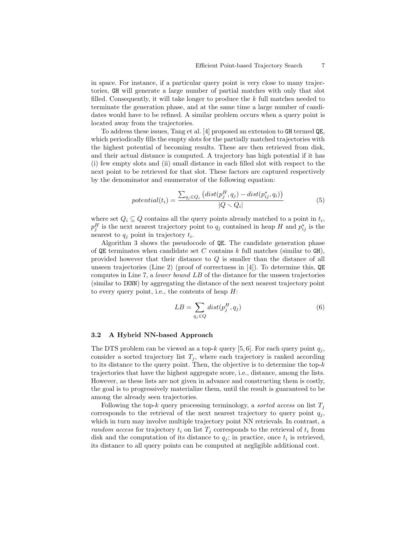in space. For instance, if a particular query point is very close to many trajectories, GH will generate a large number of partial matches with only that slot filled. Consequently, it will take longer to produce the  $k$  full matches needed to terminate the generation phase, and at the same time a large number of candidates would have to be refined. A similar problem occurs when a query point is located away from the trajectories.

To address these issues, Tang et al. [4] proposed an extension to GH termed QE, which periodically fills the empty slots for the partially matched trajectories with the highest potential of becoming results. These are then retrieved from disk, and their actual distance is computed. A trajectory has high potential if it has (i) few empty slots and (ii) small distance in each filled slot with respect to the next point to be retrieved for that slot. These factors are captured respectively by the denominator and enumerator of the following equation:

$$
potential(t_i) = \frac{\sum_{q_j \in Q_i} (dist(p_j^H, q_j) - dist(p_{ij}^*, q_i))}{|Q \setminus Q_i|} \tag{5}
$$

where set  $Q_i \subseteq Q$  contains all the query points already matched to a point in  $t_i$ ,  $p_j^H$  is the next nearest trajectory point to  $q_j$  contained in heap H and  $p_{ij}^*$  is the nearest to  $q_j$  point in trajectory  $t_i$ .

Algorithm 3 shows the pseudocode of QE. The candidate generation phase of QE terminates when candidate set C contains k full matches (similar to  $GH$ ), provided however that their distance to Q is smaller than the distance of all unseen trajectories (Line 2) (proof of correctness in [4]). To determine this,  $QE$ computes in Line 7, a lower bound LB of the distance for the unseen trajectories (similar to IKNN) by aggregating the distance of the next nearest trajectory point to every query point, i.e., the contents of heap  $H$ :

$$
LB = \sum_{q_j \in Q} dist(p_j^H, q_j) \tag{6}
$$

#### 3.2 A Hybrid NN-based Approach

The DTS problem can be viewed as a top-k query [5, 6]. For each query point  $q_i$ , consider a sorted trajectory list  $T_i$ , where each trajectory is ranked according to its distance to the query point. Then, the objective is to determine the top- $k$ trajectories that have the highest aggregate score, i.e., distance, among the lists. However, as these lists are not given in advance and constructing them is costly, the goal is to progressively materialize them, until the result is guaranteed to be among the already seen trajectories.

Following the top-k query processing terminology, a *sorted access* on list  $T_i$ corresponds to the retrieval of the next nearest trajectory to query point  $q_i$ , which in turn may involve multiple trajectory point NN retrievals. In contrast, a random access for trajectory  $t_i$  on list  $T_j$  corresponds to the retrieval of  $t_i$  from disk and the computation of its distance to  $q_j$ ; in practice, once  $t_i$  is retrieved, its distance to all query points can be computed at negligible additional cost.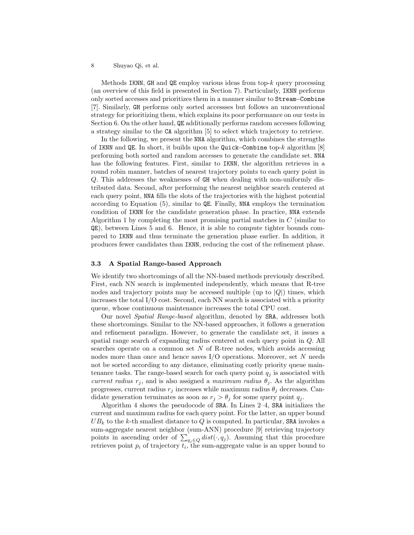Methods IKNN, GH and QE employ various ideas from top- $k$  query processing (an overview of this field is presented in Section 7). Particularly, IKNN performs only sorted accesses and prioritizes them in a manner similar to Stream−Combine [7]. Similarly, GH performs only sorted accessses but follows an unconventional strategy for prioritizing them, which explains its poor performance on our tests in Section 6. On the other hand, QE additionally performs random accesses following a strategy similar to the CA algorithm [5] to select which trajectory to retrieve.

In the following, we present the NNA algorithm, which combines the strengths of IKNN and QE. In short, it builds upon the Quick–Combine top- $k$  algorithm [8] performing both sorted and random accesses to generate the candidate set. NNA has the following features. First, similar to IKNN, the algorithm retrieves in a round robin manner, batches of nearest trajectory points to each query point in Q. This addresses the weaknesses of GH when dealing with non-uniformly distributed data. Second, after performing the nearest neighbor search centered at each query point, NNA fills the slots of the trajectories with the highest potential according to Equation (5), similar to QE. Finally, NNA employs the termination condition of IKNN for the candidate generation phase. In practice, NNA extends Algorithm 1 by completing the most promising partial matches in  $C$  (similar to QE), between Lines 5 and 6. Hence, it is able to compute tighter bounds compared to IKNN and thus terminate the generation phase earlier. In addition, it produces fewer candidates than IKNN, reducing the cost of the refinement phase.

## 3.3 A Spatial Range-based Approach

We identify two shortcomings of all the NN-based methods previously described. First, each NN search is implemented independently, which means that R-tree nodes and trajectory points may be accessed multiple (up to  $|Q|$ ) times, which increases the total I/O cost. Second, each NN search is associated with a priority queue, whose continuous maintenance increases the total CPU cost.

Our novel Spatial Range-based algorithm, denoted by SRA, addresses both these shortcomings. Similar to the NN-based approaches, it follows a generation and refinement paradigm. However, to generate the candidate set, it issues a spatial range search of expanding radius centered at each query point in Q. All searches operate on a common set  $N$  of R-tree nodes, which avoids accessing nodes more than once and hence saves  $I/O$  operations. Moreover, set N needs not be sorted according to any distance, eliminating costly priority queue maintenance tasks. The range-based search for each query point  $q_i$  is associated with current radius  $r_i$ , and is also assigned a maximum radius  $\theta_i$ . As the algorithm progresses, current radius  $r_j$  increases while maximum radius  $\theta_j$  decreases. Candidate generation terminates as soon as  $r_j > \theta_j$  for some query point  $q_j$ .

Algorithm 4 shows the pseudocode of SRA. In Lines 2–4, SRA initializes the current and maximum radius for each query point. For the latter, an upper bound  $UB_k$  to the k-th smallest distance to Q is computed. In particular, SRA invokes a sum-aggregate nearest neighbor (sum-ANN) procedure [9] retrieving trajectory points in ascending order of  $\sum_{q_j \in Q} dist(\cdot, q_j)$ . Assuming that this procedure retrieves point  $p_i$  of trajectory  $t_i$ , the sum-aggregate value is an upper bound to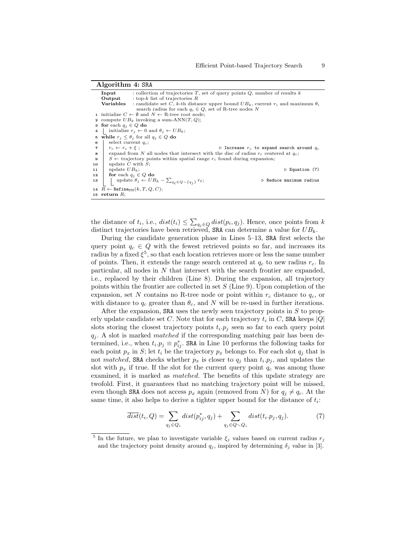#### Algorithm 4: SRA

|                          | : collection of trajectories T, set of query points $Q$ , number of results k<br>Input                  |                                                               |
|--------------------------|---------------------------------------------------------------------------------------------------------|---------------------------------------------------------------|
|                          | Output<br>: top-k list of trajectories $R$                                                              |                                                               |
|                          | Variables<br>: candidate set C, k-th distance upper bound $UB_k$ , current $r_i$ and maximum $\theta_i$ |                                                               |
|                          | search radius for each $q_i \in Q$ , set of R-tree nodes N                                              |                                                               |
|                          | <b>1</b> initialize $C \leftarrow \emptyset$ and $N \leftarrow$ R-tree root node;                       |                                                               |
|                          | 2 compute $UB_k$ invoking a sum-ANN(T, Q);                                                              |                                                               |
|                          | <b>3</b> for each $q_i \in Q$ do                                                                        |                                                               |
| $\overline{4}$           | initialize $r_j \leftarrow 0$ and $\theta_j \leftarrow UB_k$ ;                                          |                                                               |
|                          | 5 while $r_i \leq \theta_i$ for all $q_i \in Q$ do                                                      |                                                               |
| 6                        | select current $q_c$ ;                                                                                  |                                                               |
| $\overline{\phantom{a}}$ | $r_c \leftarrow r_c + \varepsilon$ :                                                                    | $\triangleright$ Increase $r_c$ to expand search around $q_c$ |
| 8                        | expand from N all nodes that intersect with the disc of radius $r_c$ centered at $q_c$ ;                |                                                               |
| 9                        | $S \leftarrow$ trajectory points within spatial range $r_c$ found during expansion;                     |                                                               |
| 10                       | update $C$ with $S$ :                                                                                   |                                                               |
| 11                       | update $UB_k$ :                                                                                         | $\triangleright$ Equation (7)                                 |
| 12                       | for each $q_i \in Q$ do                                                                                 |                                                               |
| 13                       | update $\theta_j \leftarrow UB_k - \sum_{q_\ell \in Q \setminus \{q_j\}} r_\ell;$                       | $\triangleright$ Reduce maximum radius                        |
|                          | 14 $R \leftarrow$ Refine <sub>pts</sub> $(k, T, Q, C)$ ;                                                |                                                               |
|                          | $15$ return $R$ :                                                                                       |                                                               |

the distance of  $t_i$ , i.e.,  $dist(t_i) \leq \sum_{q_j \in Q} dist(p_i, q_j)$ . Hence, once points from k distinct trajectories have been retrieved, SRA can determine a value for  $UB_k$ .

During the candidate generation phase in Lines 5–13, SRA first selects the query point  $q_c \in Q$  with the fewest retrieved points so far, and increases its radius by a fixed  $\xi^5$ , so that each location retrieves more or less the same number of points. Then, it extends the range search centered at  $q_c$  to new radius  $r_c$ . In particular, all nodes in N that intersect with the search frontier are expanded, i.e., replaced by their children (Line 8). During the expansion, all trajectory points within the frontier are collected in set  $S$  (Line 9). Upon completion of the expansion, set N contains no R-tree node or point within  $r_c$  distance to  $q_c$ , or with distance to  $q_c$  greater than  $\theta_c$ , and N will be re-used in further iterations.

After the expansion, SRA uses the newly seen trajectory points in  $S$  to properly update candidate set C. Note that for each trajectory  $t_i$  in C, SRA keeps  $|Q|$ slots storing the closest trajectory points  $t_i$ ,  $p_j$  seen so far to each query point  $q_i$ . A slot is marked *matched* if the corresponding matching pair has been determined, i.e., when  $t_i \cdot p_j \equiv p_{ij}^*$ . SRA in Line 10 performs the following tasks for each point  $p_x$  in S; let  $t_i$  be the trajectory  $p_x$  belongs to. For each slot  $q_i$  that is not matched, SRA checks whether  $p_x$  is closer to  $q_j$  than  $t_i \cdot p_j$ , and updates the slot with  $p_x$  if true. If the slot for the current query point  $q_c$  was among those examined, it is marked as *matched*. The benefits of this update strategy are twofold. First, it guarantees that no matching trajectory point will be missed, even though SRA does not access  $p_x$  again (removed from N) for  $q_i \neq q_c$ . At the same time, it also helps to derive a tighter upper bound for the distance of  $t_i$ :

$$
\overline{dist}(t_i, Q) = \sum_{q_j \in Q_i} dist(p_{ij}^*, q_j) + \sum_{q_j \in Q \backslash Q_i} dist(t_i, p_j, q_j). \tag{7}
$$

<sup>5</sup> In the future, we plan to investigate variable  $\xi_j$  values based on current radius  $r_j$ and the trajectory point density around  $q_j$ , inspired by determining  $\delta_j$  value in [3].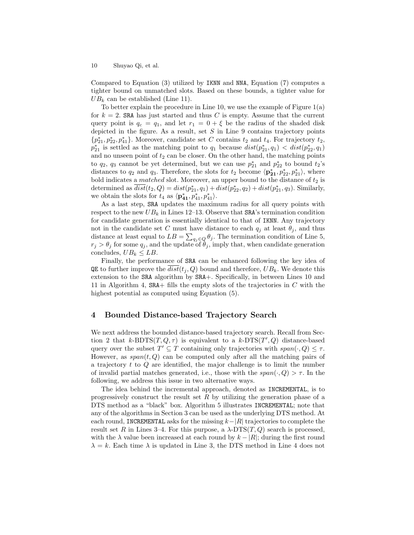Compared to Equation (3) utilized by IKNN and NNA, Equation (7) computes a tighter bound on unmatched slots. Based on these bounds, a tighter value for  $UB_k$  can be established (Line 11).

To better explain the procedure in Line 10, we use the example of Figure 1(a) for  $k = 2$ . SRA has just started and thus C is empty. Assume that the current query point is  $q_c = q_1$ , and let  $r_1 = 0 + \xi$  be the radius of the shaded disk depicted in the figure. As a result, set  $S$  in Line 9 contains trajectory points  $\{p_{21}^*, p_{22}^*, p_{41}^*\}$ . Moreover, candidate set C contains  $t_2$  and  $t_4$ . For trajectory  $t_2$ ,  $p_{21}^*$  is settled as the matching point to  $q_1$  because  $dist(p_{21}^*, q_1) < dist(p_{22}^*, q_1)$ and no unseen point of  $t_2$  can be closer. On the other hand, the matching points to  $q_2$ ,  $q_3$  cannot be yet determined, but we can use  $p_{21}^*$  and  $p_{22}^*$  to bound  $t_2$ 's distances to  $q_2$  and  $q_3$ . Therefore, the slots for  $t_2$  become  $\langle \mathbf{p}_{21}^*, p_{22}^*, p_{21}^* \rangle$ , where bold indicates a *matched* slot. Moreover, an upper bound to the distance of  $t_2$  is determined as  $dist(t_2, Q) = dist(p_{21}^*, q_1) + dist(p_{22}^*, q_2) + dist(p_{21}^*, q_3)$ . Similarly, we obtain the slots for  $t_4$  as  $\langle \mathbf{p}_{41}^*, p_{41}^*, p_{41}^* \rangle$ .

As a last step, SRA updates the maximum radius for all query points with respect to the new  $UB_k$  in Lines 12–13. Observe that SRA's termination condition for candidate generation is essentially identical to that of IKNN. Any trajectory not in the candidate set C must have distance to each  $q_i$  at least  $\theta_i$ , and thus distance at least equal to  $LB = \sum_{q_j \in Q} \theta_j$ . The termination condition of Line 5,  $r_j > \theta_j$  for some  $q_j$ , and the update of  $\check{\theta}_j$ , imply that, when candidate generation concludes,  $UB_k \leq LB$ .

Finally, the performance of SRA can be enhanced following the key idea of QE to further improve the  $\overline{dist}(t_i, Q)$  bound and therefore,  $UB_k$ . We denote this extension to the SRA algorithm by SRA+. Specifically, in between Lines 10 and 11 in Algorithm 4,  $SRA+$  fills the empty slots of the trajectories in C with the highest potential as computed using Equation (5).

## 4 Bounded Distance-based Trajectory Search

We next address the bounded distance-based trajectory search. Recall from Section 2 that  $k$ -BDTS $(T, Q, \tau)$  is equivalent to a  $k$ -DTS $(T', Q)$  distance-based query over the subset  $T' \subseteq T$  containing only trajectories with  $span(\cdot, Q) \leq \tau$ . However, as  $span(t, Q)$  can be computed only after all the matching pairs of a trajectory  $t$  to  $Q$  are identified, the major challenge is to limit the number of invalid partial matches generated, i.e., those with the  $span(\cdot, Q) > \tau$ . In the following, we address this issue in two alternative ways.

The idea behind the incremental approach, denoted as INCREMENTAL, is to progressively construct the result set  $R$  by utilizing the generation phase of a DTS method as a "black" box. Algorithm 5 illustrates INCREMENTAL; note that any of the algorithms in Section 3 can be used as the underlying DTS method. At each round, INCREMENTAL asks for the missing  $k-|R|$  trajectories to complete the result set R in Lines 3–4. For this purpose, a  $\lambda$ -DTS $(T, Q)$  search is processed, with the  $\lambda$  value been increased at each round by  $k - |R|$ ; during the first round  $\lambda = k$ . Each time  $\lambda$  is updated in Line 3, the DTS method in Line 4 does not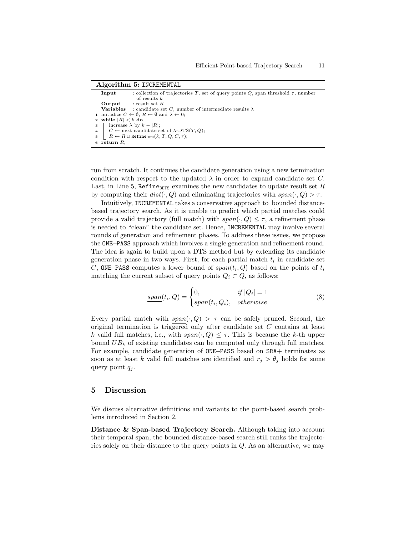Algorithm 5: INCREMENTAL

**Input** : collection of trajectories T, set of query points  $Q$ , span threshold  $\tau$ , number of results k **Output** : result set  $R$ **Variables** : candidate set C, number of intermediate results  $\lambda$ 1 initialize  $C \leftarrow \emptyset$ ,  $R \leftarrow \emptyset$  and  $\lambda \leftarrow 0$ ; 2 while  $|R| < k$  do<br>3 | increase  $\lambda$  by k **3** increase  $\lambda$  by  $k - |R|$ ;<br>**4**  $C \leftarrow$  next candidate set 4  $C \leftarrow$  next candidate set of  $\lambda$ -DTS $(T, Q)$ ;<br>5  $R \leftarrow R \cup \text{Refine}_{\text{pre}}(k, T, Q, C, \tau)$ ;  $\vert R \leftarrow R \cup \text{Refine}_{\text{BDTS}}(k, T, Q, C, \tau);$  $6$  return  $R$ ;

run from scratch. It continues the candidate generation using a new termination condition with respect to the updated  $\lambda$  in order to expand candidate set C. Last, in Line 5, Refine<sub>BDTS</sub> examines the new candidates to update result set R by computing their  $dist(\cdot, Q)$  and eliminating trajectories with  $span(\cdot, Q) > \tau$ .

Intuitively, INCREMENTAL takes a conservative approach to bounded distancebased trajectory search. As it is unable to predict which partial matches could provide a valid trajectory (full match) with  $span(\cdot, Q) \leq \tau$ , a refinement phase is needed to "clean" the candidate set. Hence, INCREMENTAL may involve several rounds of generation and refinement phases. To address these issues, we propose the ONE−PASS approach which involves a single generation and refinement round. The idea is again to build upon a DTS method but by extending its candidate generation phase in two ways. First, for each partial match  $t_i$  in candidate set C, ONE–PASS computes a lower bound of  $span(t_i, Q)$  based on the points of  $t_i$ matching the current subset of query points  $Q_i \subset Q$ , as follows:

$$
span(t_i, Q) = \begin{cases} 0, & if |Q_i| = 1\\ span(t_i, Q_i), & otherwise \end{cases}
$$
 (8)

Every partial match with  $span(\cdot, Q) > \tau$  can be safely pruned. Second, the original termination is triggered only after candidate set C contains at least k valid full matches, i.e., with  $span(\cdot, Q) \leq \tau$ . This is because the k-th upper bound  $UB_k$  of existing candidates can be computed only through full matches. For example, candidate generation of ONE−PASS based on SRA+ terminates as soon as at least k valid full matches are identified and  $r_j > \theta_j$  holds for some query point  $q_j$ .

## 5 Discussion

We discuss alternative definitions and variants to the point-based search problems introduced in Section 2.

Distance & Span-based Trajectory Search. Although taking into account their temporal span, the bounded distance-based search still ranks the trajectories solely on their distance to the query points in Q. As an alternative, we may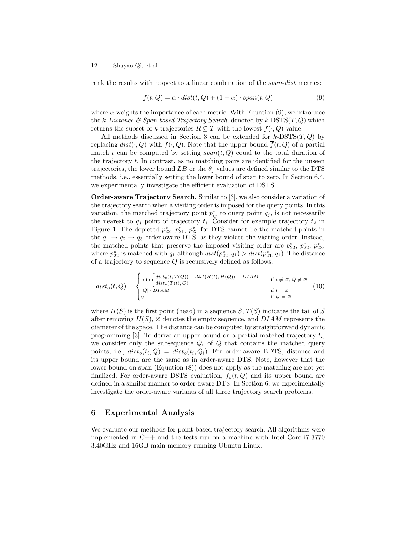rank the results with respect to a linear combination of the *span-dist* metrics:

$$
f(t, Q) = \alpha \cdot dist(t, Q) + (1 - \alpha) \cdot span(t, Q)
$$
\n(9)

where  $\alpha$  weights the importance of each metric. With Equation (9), we introduce the k-Distance  $\mathcal C$  Span-based Trajectory Search, denoted by k-DSTS(T, Q) which returns the subset of k trajectories  $R \subseteq T$  with the lowest  $f(\cdot, Q)$  value.

All methods discussed in Section 3 can be extended for  $k$ -DSTS $(T, Q)$  by replacing  $dist(\cdot, Q)$  with  $f(\cdot, Q)$ . Note that the upper bound  $\overline{f}(t, Q)$  of a partial match t can be computed by setting  $\overline{span}(t, Q)$  equal to the total duration of the trajectory  $t$ . In contrast, as no matching pairs are identified for the unseen trajectories, the lower bound LB or the  $\theta_i$  values are defined similar to the DTS methods, i.e., essentially setting the lower bound of span to zero. In Section 6.4, we experimentally investigate the efficient evaluation of DSTS.

Order-aware Trajectory Search. Similar to [3], we also consider a variation of the trajectory search when a visiting order is imposed for the query points. In this variation, the matched trajectory point  $p_{ij}^*$  to query point  $q_j$ , is not necessarily the nearest to  $q_j$  point of trajectory  $t_i$ . Consider for example trajectory  $t_2$  in Figure 1. The depicted  $p_{22}^*$ ,  $p_{21}^*$ ,  $p_{23}^*$  for DTS cannot be the matched points in the  $q_1 \rightarrow q_2 \rightarrow q_3$  order-aware DTS, as they violate the visiting order. Instead, the matched points that preserve the imposed visiting order are  $p_{22}^*$ ,  $p_{22}^*$ ,  $p_{23}^*$ , where  $p_{22}^*$  is matched with  $q_1$  although  $dist(p_{22}^*, q_1) > dist(p_{21}^*, q_1)$ . The distance of a trajectory to sequence  $Q$  is recursively defined as follows:

$$
dist_o(t,Q) = \begin{cases} \min \begin{cases} dist_o(t, T(Q)) + dist(H(t), H(Q)) - DIAM & \text{if } t \neq \varnothing, Q \neq \varnothing \\ dist_o(T(t), Q) & \text{if } t = \varnothing \\ 0 & \text{if } Q = \varnothing \end{cases} \end{cases}
$$
(10)

where  $H(S)$  is the first point (head) in a sequence  $S, T(S)$  indicates the tail of S after removing  $H(S)$ ,  $\varnothing$  denotes the empty sequence, and  $DIAM$  represents the diameter of the space. The distance can be computed by straightforward dynamic programming [3]. To derive an upper bound on a partial matched trajectory  $t_i$ , we consider only the subsequence  $Q_i$  of  $Q$  that contains the matched query points, i.e.,  $dist_o(t_i, Q) = dist_o(t_i, Q_i)$ . For order-aware BDTS, distance and its upper bound are the same as in order-aware DTS. Note, however that the lower bound on span (Equation (8)) does not apply as the matching are not yet finalized. For order-aware DSTS evaluation,  $f_o(t, Q)$  and its upper bound are defined in a similar manner to order-aware DTS. In Section 6, we experimentally investigate the order-aware variants of all three trajectory search problems.

## 6 Experimental Analysis

We evaluate our methods for point-based trajectory search. All algorithms were implemented in C++ and the tests run on a machine with Intel Core i7-3770 3.40GHz and 16GB main memory running Ubuntu Linux.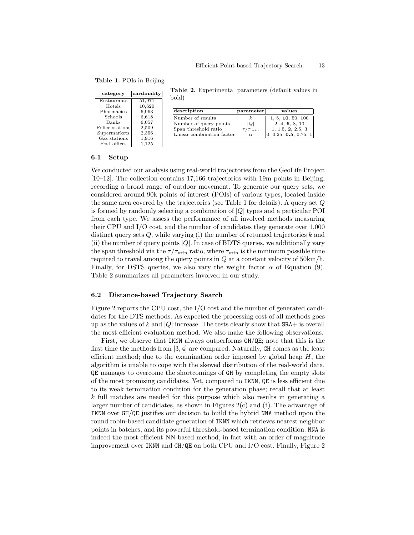Table 1. POIs in Beijing category cardinality

Table 2. Experimental parameters (default values in bold)

| Restaurants     | 51,971 |
|-----------------|--------|
| Hotels          | 10,620 |
| Pharmacies      | 6,963  |
| Schools         | 6,618  |
| Banks           | 6,057  |
| Police stations | 2,509  |
| Supermarkets    | 2,356  |
| Gas stations    | 1,916  |
| Post offices    | 1,125  |

| description               | parameter         | values                              |
|---------------------------|-------------------|-------------------------------------|
| Number of results         |                   | 1, 5, 10, 50, 100                   |
| Number of query points    | Q                 | 2, 4, 6, 8, 10                      |
| Span threshold ratio      | $\tau/\tau_{min}$ | 1, 1.5, 2, 2.5, 3                   |
| Linear combination factor | $\alpha$          | $\vert 0, 0.25, 0.5, 0.75, 1 \vert$ |

#### 6.1 Setup

We conducted our analysis using real-world trajectories from the GeoLife Project [10–12]. The collection contains 17,166 trajectories with 19m points in Beijing, recording a broad range of outdoor movement. To generate our query sets, we considered around 90k points of interest (POIs) of various types, located inside the same area covered by the trajectories (see Table 1 for details). A query set Q is formed by randomly selecting a combination of  $|Q|$  types and a particular POI from each type. We assess the performance of all involved methods measuring their CPU and I/O cost, and the number of candidates they generate over 1,000 distinct query sets  $Q$ , while varying (i) the number of returned trajectories k and (ii) the number of query points  $|Q|$ . In case of BDTS queries, we additionally vary the span threshold via the  $\tau/\tau_{min}$  ratio, where  $\tau_{min}$  is the minimum possible time required to travel among the query points in  $Q$  at a constant velocity of  $50 \text{km/h}$ . Finally, for DSTS queries, we also vary the weight factor  $\alpha$  of Equation (9). Table 2 summarizes all parameters involved in our study.

### 6.2 Distance-based Trajectory Search

Figure 2 reports the CPU cost, the I/O cost and the number of generated candidates for the DTS methods. As expected the processing cost of all methods goes up as the values of k and  $|Q|$  increase. The tests clearly show that  $SRA+$  is overall the most efficient evaluation method. We also make the following observations.

First, we observe that IKNN always outperforms GH/QE; note that this is the first time the methods from [3, 4] are compared. Naturally, GH comes as the least efficient method; due to the examination order imposed by global heap  $H$ , the algorithm is unable to cope with the skewed distribution of the real-world data. QE manages to overcome the shortcomings of GH by completing the empty slots of the most promising candidates. Yet, compared to IKNN, QE is less efficient due to its weak termination condition for the generation phase; recall that at least k full matches are needed for this purpose which also results in generating a larger number of candidates, as shown in Figures 2(c) and (f). The advantage of IKNN over GH/QE justifies our decision to build the hybrid NNA method upon the round robin-based candidate generation of IKNN which retrieves nearest neighbor points in batches, and its powerful threshold-based termination condition. NNA is indeed the most efficient NN-based method, in fact with an order of magnitude improvement over IKNN and GH/QE on both CPU and I/O cost. Finally, Figure 2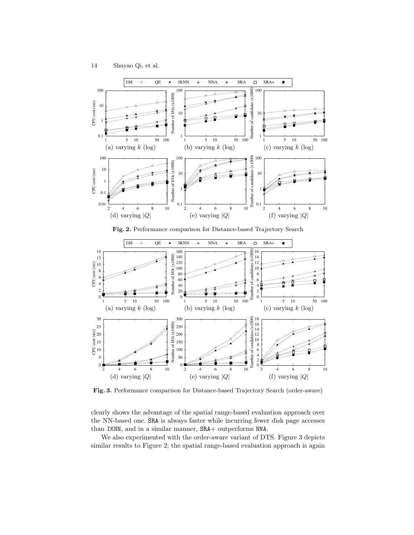





Fig. 3. Performance comparison for Distance-based Trajectory Search (order-aware)

clearly shows the advantage of the spatial range-based evaluation approach over the NN-based one. SRA is always faster while incurring fewer disk page accesses than IKNN, and in a similar manner, SRA+ outperforms NNA.

We also experimented with the order-aware variant of DTS. Figure 3 depicts similar results to Figure 2; the spatial range-based evaluation approach is again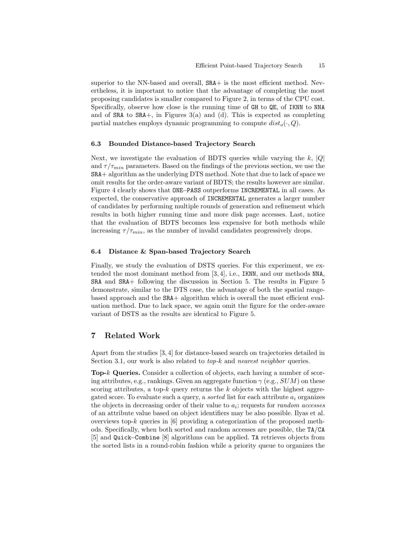superior to the NN-based and overall, SRA+ is the most efficient method. Nevertheless, it is important to notice that the advantage of completing the most proposing candidates is smaller compared to Figure 2, in terms of the CPU cost. Specifically, observe how close is the running time of GH to QE, of IKNN to NNA and of  $SRA$  to  $SRA+$ , in Figures 3(a) and (d). This is expected as completing partial matches employs dynamic programming to compute  $dist_o(\cdot, Q)$ .

#### 6.3 Bounded Distance-based Trajectory Search

Next, we investigate the evaluation of BDTS queries while varying the  $k, |Q|$ and  $\tau/\tau_{min}$  parameters. Based on the findings of the previous section, we use the SRA+ algorithm as the underlying DTS method. Note that due to lack of space we omit results for the order-aware variant of BDTS; the results however are similar. Figure 4 clearly shows that ONE−PASS outperforms INCREMENTAL in all cases. As expected, the conservative approach of INCREMENTAL generates a larger number of candidates by performing multiple rounds of generation and refinement which results in both higher running time and more disk page accesses. Last, notice that the evaluation of BDTS becomes less expensive for both methods while increasing  $\tau/\tau_{min}$ , as the number of invalid candidates progressively drops.

## 6.4 Distance & Span-based Trajectory Search

Finally, we study the evaluation of DSTS queries. For this experiment, we extended the most dominant method from [3, 4], i.e., IKNN, and our methods NNA, SRA and SRA+ following the discussion in Section 5. The results in Figure 5 demonstrate, similar to the DTS case, the advantage of both the spatial rangebased approach and the SRA+ algorithm which is overall the most efficient evaluation method. Due to lack space, we again omit the figure for the order-aware variant of DSTS as the results are identical to Figure 5.

# 7 Related Work

Apart from the studies [3, 4] for distance-based search on trajectories detailed in Section 3.1, our work is also related to *top-k* and *nearest neighbor* queries.

Top-k Queries. Consider a collection of objects, each having a number of scoring attributes, e.g., rankings. Given an aggregate function  $\gamma$  (e.g.,  $SUM$ ) on these scoring attributes, a top-k query returns the k objects with the highest aggregated score. To evaluate such a query, a *sorted* list for each attribute  $a_i$  organizes the objects in decreasing order of their value to  $a_i$ ; requests for *random* accesses of an attribute value based on object identifiers may be also possible. Ilyas et al. overviews top-k queries in  $[6]$  providing a categorization of the proposed methods. Specifically, when both sorted and random accesses are possible, the TA/CA [5] and Quick−Combine [8] algorithms can be applied. TA retrieves objects from the sorted lists in a round-robin fashion while a priority queue to organizes the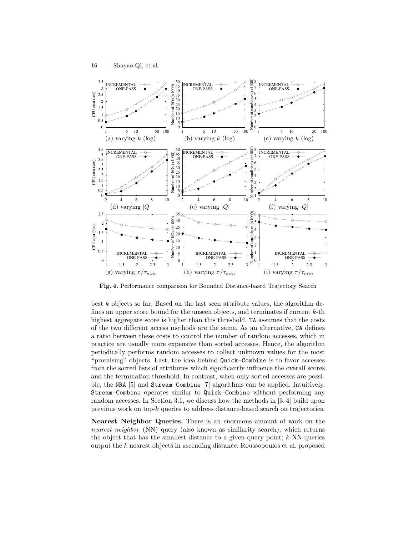

Fig. 4. Performance comparison for Bounded Distance-based Trajectory Search

best  $k$  objects so far. Based on the last seen attribute values, the algorithm defines an upper score bound for the unseen objects, and terminates if current  $k$ -th highest aggregate score is higher than this threshold. TA assumes that the costs of the two different access methods are the same. As an alternative, CA defines a ratio between these costs to control the number of random accesses, which in practice are usually more expensive than sorted accesses. Hence, the algorithm periodically performs random accesses to collect unknown values for the most "promising" objects. Last, the idea behind Quick−Combine is to favor accesses from the sorted lists of attributes which significantly influence the overall scores and the termination threshold. In contrast, when only sorted accesses are possible, the NRA [5] and Stream−Combine [7] algorithms can be applied. Intuitively, Stream−Combine operates similar to Quick−Combine without performing any random accesses. In Section 3.1, we discuss how the methods in [3, 4] build upon previous work on top-k queries to address distance-based search on trajectories.

Nearest Neighbor Queries. There is an enormous amount of work on the nearest neighbor (NN) query (also known as similarity search), which returns the object that has the smallest distance to a given query point;  $k$ -NN queries output the k nearest objects in ascending distance. Roussopoulos et al. proposed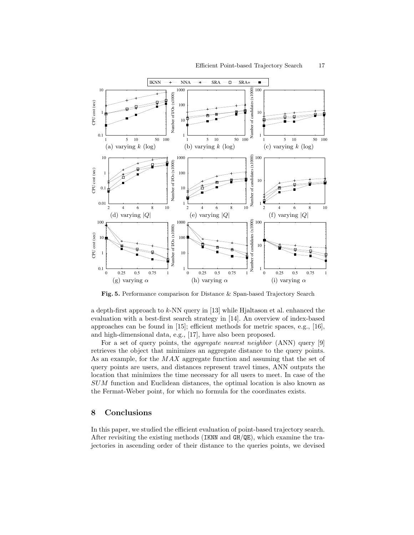

Fig. 5. Performance comparison for Distance & Span-based Trajectory Search

a depth-first approach to  $k$ -NN query in [13] while Hjaltason et al. enhanced the evaluation with a best-first search strategy in [14]. An overview of index-based approaches can be found in [15]; efficient methods for metric spaces, e.g., [16], and high-dimensional data, e.g., [17], have also been proposed.

For a set of query points, the *aggregate nearest neighbor* (ANN) query [9] retrieves the object that minimizes an aggregate distance to the query points. As an example, for the MAX aggregate function and assuming that the set of query points are users, and distances represent travel times, ANN outputs the location that minimizes the time necessary for all users to meet. In case of the SUM function and Euclidean distances, the optimal location is also known as the Fermat-Weber point, for which no formula for the coordinates exists.

# 8 Conclusions

In this paper, we studied the efficient evaluation of point-based trajectory search. After revisiting the existing methods (IKNN and GH/QE), which examine the trajectories in ascending order of their distance to the queries points, we devised